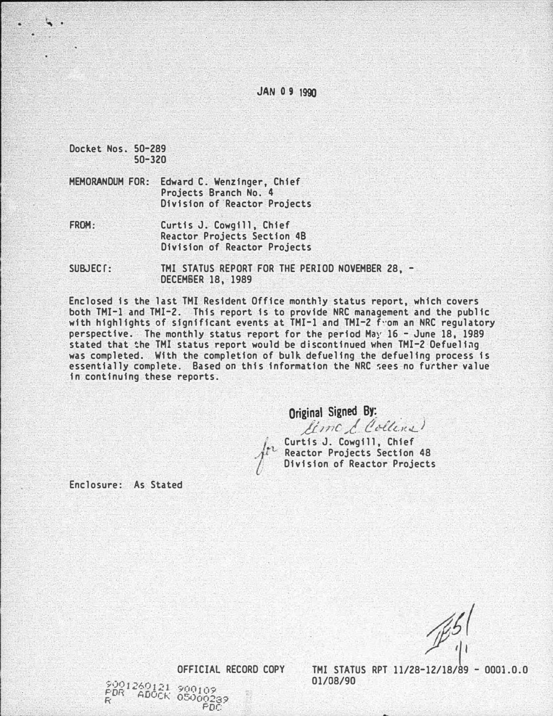JAN 0 9 1990

Docket Nos. 50-289 50-320

 $\ddot{\phantom{0}}$ 

- MEMORANDUM FOR: Edward C. Wenzinger, Chief Projects Branch No. 4 Division of Reactor Projects
- FROM: Curtis J. Cowgill, Chief Reactor Projects Section 4B Division of Reactor Projects
- SUBJECT: THI STATUS REPORT FOR THE PERIOD NOVEMBER 28, -DECEM6ER 18, 1989

Enclosed is the last TMI Resident Office monthly status report, which covers both TMI-1 and TMI-2. This report is to provide NRC management and the public with highlights of significant events at TMI-1 and TMI-2 f"om an NRC regulatory perspective. The monthly status report for the period May 16 - June 18, 1989 stated that �he TMI status report would be discontinued when TMI-2 Oefueling was completed. With the completion of bulk defueling the defueling process is essentially complete. Based on this information the NRC �ees no further value in continuing these reports.

Original Signed By:<br>*Elime d. Colline* 

Curtis J. Cowgill, Chief Reactor Projects Section 48 Division of Reactor Projects

Enclosure: As Stated

 $\sqrt{2}$  $\vert$ <sup>'</sup>

OFFICIAL RECORD COPY

\$001260121 900109<br>PDR ADOCK 05000289<br>R

TMI STATUS RPT 11/28-12/18/89 - 0001.0.0 01/08/90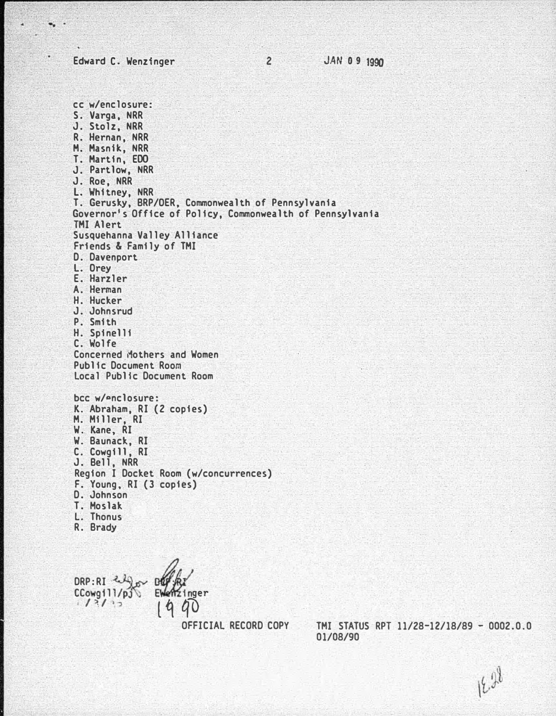Edward C. Wenzinger

 $\bullet$  . .

cc w/enclosure: S. Varga, NRR J. Stolz, NRR R. Hernan, NRR M. Masnik, NRR T. Hartin, EOO J. Partlow, NRR J. Roe, NRR l. Whitney, NRR T. Gerusky, BRP/OER, Commonwealth of Pennsylvania Governor's Office of Policy, Commonwealth of Pennsylvania THI Alert Susquehanna Valley Alliance Friends & Family of THI D. Davenport l. Orey E. Harzler A. Herman H. Hucker J. Johnsrud P. Smith H. Spinelli C. Wolfe Concerned Mothers and Women Public Document Room Local Public Document Room bcc w/enclosure: K. Abraham, RI (2 copies) H. Hiller, RI W. Kane, RI W. Baunack, RI C. Cowgill, RI J. Bell, NRR Region I Docket Room (w/concurrences) F. Young, RI (3 copies) D. Johnson T. Moslak l. Thonus R. Brady

DRP:RI «" CCowgill/pj\;  $1213$  $\frac{1}{2}$  ... l q qo

OFFICIAL RECORD COPY THI STATUS RPT 11/28-12/18/89 - 0002.0.0 01/08/90

18.28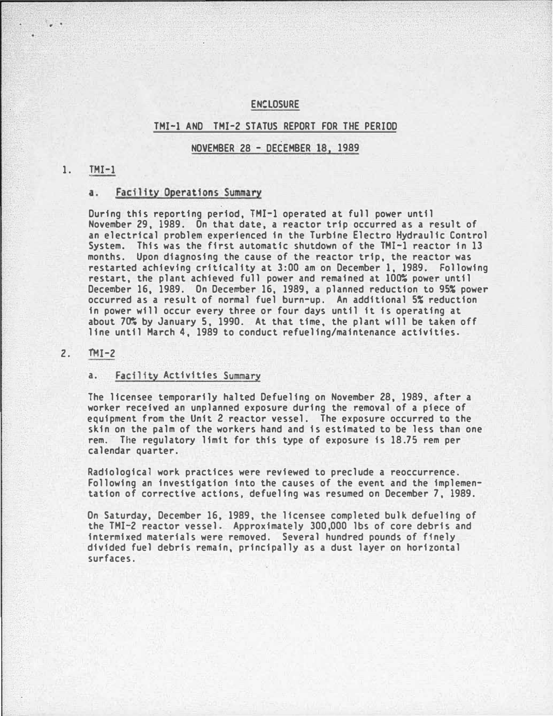### **ENSLOSURE**

#### TMI-1 AND TMI-2 STATUS REPORT FOR THE PERIOD

### NOVEMBER 28 - DECEMBER 18, 1989

### 1. **IMI-1**

# a. Facility Operations Summary

During this reporting period, TMI-1 operated at full power until November 29, 1989. On that date, a reactor trip occurred as a result of an electrical problem experienced in the Turbine Electro Hydraulic Control System. This was the first automatic shutdown of the TMI-1 reactor in 13 months. Upon diagnosing the cause of the reactor trip, the reactor was restarted achieving criticality at 3:00 am on December 1, 1989. Following restart, the plant achieved full power and remained at 100% power until December 16, 1989. On December 16, 1989, a planned reduction to 95% power occurred as a result of normal fuel burn-up. An additional 5% reduction in power will occur every three or four days until it is operating at about 70% by January 5, 1990. At that time, the plant will be taken off line until March 4, 1989 to conduct refueling/maintenance activities.

#### $2.$  TMI-2

### a. Facility Activities Summary

The licensee temporarily halted Defueling on November 28, 1989, after a worker received an unplanned exposure during the removal of a piece of equipment from the Unit Z reactor vessel. The exposure occurred to the skin on the palm of the workers hand and is estimated to be less than one rem. The regulatory limit for this type of exposure is 18.75 rem per calendar quarter.

Radiological work practices were reviewed to preclude a reoccurrence. Following an investigation into the causes of the event and the implementation of corrective actions, defueling was resumed on December 7, 1989.

On Saturday, December 16, 1989, the licensee completed bulk defueling of the TMI-2 reactor vessel. Approximately 300,000 lbs of core debris and intermixed materials were removed. Several hundred pounds of finely divided fuel debris remain, principally as a dust layer on horizontal surfaces.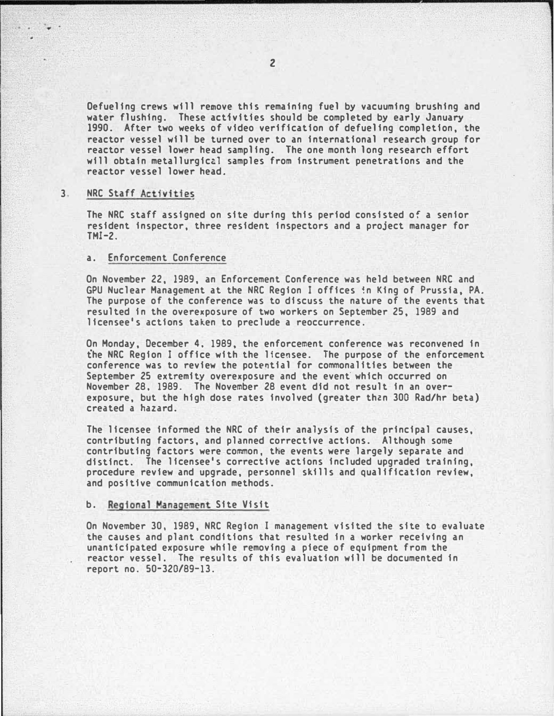Oefueling crews will remove this remaining fuel by vacuuming brushing and water flushing. These activities should be completed by early January 1990. After two weeks of video verification of defueling completion, the reactor vessel will be turned over to an international research group for reactor vessel lower head sampling. The one month long research effort will obtain metallurgical samples from instrument penetrations and the reactor vessel lower head.

#### 3. NRC Staff Activities

The NRC staff assigned on site during this period consisted of a senior resident inspector, three resident inspectors and a project manager for TMI-2.

#### a. Enforcement Conference

On November 22, 1989, an Enforcement Conference was held between NRC and GPU Nuclear Management at the NRC Region I offices �n King of Prussia, PA. The purpose of the conference was to discuss the nature of the events that resulted in the overexposure of two workers on September 25, 1989 and licensee's actions taken to preclude a reoccurrence.

On Monday, December 4, 1989, the enforcement conference was reconvened in the NRC Region I office with the licensee. The purpose of the enforcement conference was to review the potential for commonalities between the September 25 extremity overexposure and the event which occurred on November 28, 1989. The November 28 event did not result in an overexposure, but the high dose rates involved (greater th�n 300 Rad/hr beta) created a hazard.

The licensee informed the NRC of their analysis of the principal causes, contributing factors, and planned corrective actions. Although some contributing factors were common, the events were largely separate and distinct. The licensee's corrective actions included upgraded training, procedure review and upgrade, personnel skills and qualification review, and positive communication methods.

## b. Regional Management Site Visit

On November 30, 1989, NRC Region I management visited the site to evaluate the causes and plant conditions that resulted in a worker receiving an unanticipated exposure while removing a piece of equipment from the reactor vessel. The results of this evaluation will be documented in report no. 50-320/89-13.